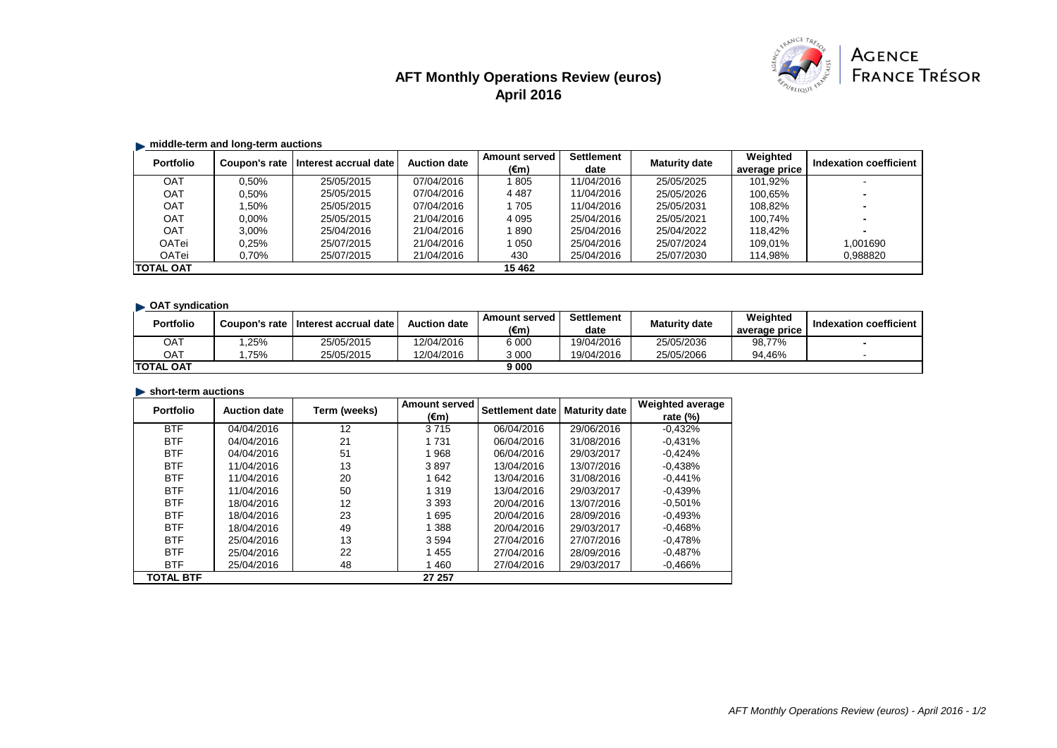# **AFT Monthly Operations Review (euros) April 2016**



## $\blacksquare$  middle-term and long-term auctions

| <b>Portfolio</b> | Coupon's rate | Interest accrual date | <b>Auction date</b> | <b>Amount served</b> | <b>Settlement</b> | <b>Maturity date</b> | Weighted      | <b>Indexation coefficient</b> |
|------------------|---------------|-----------------------|---------------------|----------------------|-------------------|----------------------|---------------|-------------------------------|
|                  |               |                       |                     | (€m)                 | date              |                      | average price |                               |
| <b>OAT</b>       | 0.50%         | 25/05/2015            | 07/04/2016          | 1805                 | 11/04/2016        | 25/05/2025           | 101.92%       |                               |
| OAT              | 0.50%         | 25/05/2015            | 07/04/2016          | 4 4 8 7              | 11/04/2016        | 25/05/2026           | 100.65%       |                               |
| OAT              | .50%          | 25/05/2015            | 07/04/2016          | 1 705                | 11/04/2016        | 25/05/2031           | 108.82%       |                               |
| OAT              | $0.00\%$      | 25/05/2015            | 21/04/2016          | 4 0 9 5              | 25/04/2016        | 25/05/2021           | 100.74%       |                               |
| OAT              | 3.00%         | 25/04/2016            | 21/04/2016          | 1890                 | 25/04/2016        | 25/04/2022           | 118.42%       |                               |
| OATei            | 0.25%         | 25/07/2015            | 21/04/2016          | 1 0 5 0              | 25/04/2016        | 25/07/2024           | 109.01%       | .001690                       |
| OATei            | 0,70%         | 25/07/2015            | 21/04/2016          | 430                  | 25/04/2016        | 25/07/2030           | 114,98%       | 0,988820                      |
| <b>TOTAL OAT</b> |               |                       |                     | 15 4 62              |                   |                      |               |                               |

# **OAT syndication**

| <b>Portfolio</b>  | Coupon's rate | <b>Interest accrual date i</b> | <b>Auction date</b> | <b>Amount served</b><br>(€m) | <b>Settlement</b><br>date | <b>Maturity date</b> | Weighted<br>average price | Indexation coefficient |
|-------------------|---------------|--------------------------------|---------------------|------------------------------|---------------------------|----------------------|---------------------------|------------------------|
| ОАТ               | .25%          | 25/05/2015                     | 12/04/2016          | 6 0 0 0                      | 19/04/2016                | 25/05/2036           | 98,77%                    |                        |
| OAT               | 75%           | 25/05/2015                     | 12/04/2016          | 3 000                        | 19/04/2016                | 25/05/2066           | 94.46%                    |                        |
| <b>ITOTAL OAT</b> |               |                                |                     | 9 000                        |                           |                      |                           |                        |

#### **Short-term auctions**

| <b>Portfolio</b> | <b>Auction date</b> | Term (weeks) | <b>Amount served</b> | Settlement date | <b>Maturity date</b> | <b>Weighted average</b> |
|------------------|---------------------|--------------|----------------------|-----------------|----------------------|-------------------------|
|                  |                     |              | (€m)                 |                 |                      | rate $(\%)$             |
| <b>BTF</b>       | 04/04/2016          | 12           | 3715                 | 06/04/2016      | 29/06/2016           | $-0.432%$               |
| <b>BTF</b>       | 04/04/2016          | 21           | 1 7 3 1              | 06/04/2016      | 31/08/2016           | $-0.431%$               |
| <b>BTF</b>       | 04/04/2016          | 51           | 1968                 | 06/04/2016      | 29/03/2017           | $-0.424%$               |
| <b>BTF</b>       | 11/04/2016          | 13           | 3897                 | 13/04/2016      | 13/07/2016           | $-0.438%$               |
| <b>BTF</b>       | 11/04/2016          | 20           | 1642                 | 13/04/2016      | 31/08/2016           | $-0.441%$               |
| <b>BTF</b>       | 11/04/2016          | 50           | 1 3 1 9              | 13/04/2016      | 29/03/2017           | $-0.439%$               |
| <b>BTF</b>       | 18/04/2016          | 12           | 3 3 9 3              | 20/04/2016      | 13/07/2016           | $-0.501%$               |
| <b>BTF</b>       | 18/04/2016          | 23           | 1695                 | 20/04/2016      | 28/09/2016           | $-0.493%$               |
| <b>BTF</b>       | 18/04/2016          | 49           | 1 388                | 20/04/2016      | 29/03/2017           | $-0.468%$               |
| <b>BTF</b>       | 25/04/2016          | 13           | 3 5 9 4              | 27/04/2016      | 27/07/2016           | $-0.478%$               |
| <b>BTF</b>       | 25/04/2016          | 22           | 1455                 | 27/04/2016      | 28/09/2016           | $-0.487%$               |
| <b>BTF</b>       | 25/04/2016          | 48           | 1460                 | 27/04/2016      | 29/03/2017           | $-0.466\%$              |
| <b>TOTAL BTF</b> |                     |              | 27 257               |                 |                      |                         |